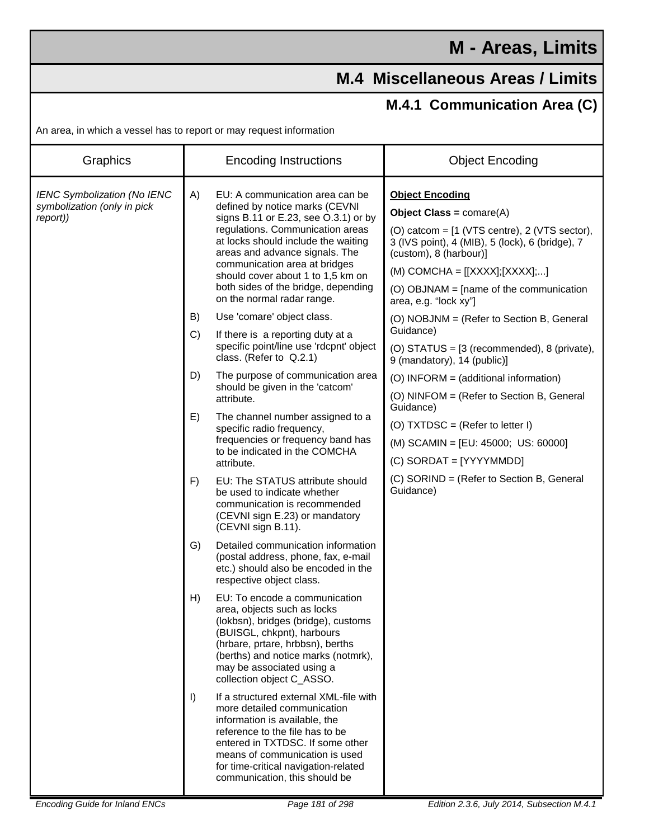## **M - Areas, Limits**

## **M.4 Miscellaneous Areas / Limits**

## **M.4.1 Communication Area (C)**

An area, in which a vessel has to report or may request information

| Graphics                                                                      | <b>Encoding Instructions</b>                                                                                                                                                                                                                                                                                                                                            | <b>Object Encoding</b>                                                                                                                                                                                                                                                                           |
|-------------------------------------------------------------------------------|-------------------------------------------------------------------------------------------------------------------------------------------------------------------------------------------------------------------------------------------------------------------------------------------------------------------------------------------------------------------------|--------------------------------------------------------------------------------------------------------------------------------------------------------------------------------------------------------------------------------------------------------------------------------------------------|
| <b>IENC Symbolization (No IENC</b><br>symbolization (only in pick<br>report)) | A)<br>EU: A communication area can be<br>defined by notice marks (CEVNI<br>signs B.11 or E.23, see O.3.1) or by<br>regulations. Communication areas<br>at locks should include the waiting<br>areas and advance signals. The<br>communication area at bridges<br>should cover about 1 to 1,5 km on<br>both sides of the bridge, depending<br>on the normal radar range. | <b>Object Encoding</b><br>Object Class = $comare(A)$<br>(O) catcom = $[1$ (VTS centre), 2 (VTS sector),<br>3 (IVS point), 4 (MIB), 5 (lock), 6 (bridge), 7<br>(custom), 8 (harbour)]<br>$(M)$ COMCHA = $[[XXX]$ ; $[XXX]$ ;]<br>(O) OBJNAM = [name of the communication<br>area, e.g. "lock xy"] |
|                                                                               | B)<br>Use 'comare' object class.<br>C)<br>If there is a reporting duty at a<br>specific point/line use 'rdcpnt' object<br>class. (Refer to Q.2.1)                                                                                                                                                                                                                       | (O) NOBJNM = (Refer to Section B, General<br>Guidance)<br>(O) STATUS = [3 (recommended), 8 (private),<br>9 (mandatory), 14 (public)]                                                                                                                                                             |
|                                                                               | D)<br>The purpose of communication area<br>should be given in the 'catcom'<br>attribute.                                                                                                                                                                                                                                                                                | (O) INFORM = (additional information)<br>(O) NINFOM = (Refer to Section B, General<br>Guidance)                                                                                                                                                                                                  |
|                                                                               | E)<br>The channel number assigned to a<br>specific radio frequency,<br>frequencies or frequency band has<br>to be indicated in the COMCHA<br>attribute.                                                                                                                                                                                                                 | (O) $TXT DSC = (Refer to letter I)$<br>(M) SCAMIN = [EU: 45000; US: 60000]<br>(C) SORDAT = [YYYYMMDD]                                                                                                                                                                                            |
|                                                                               | F)<br>EU: The STATUS attribute should<br>be used to indicate whether<br>communication is recommended<br>(CEVNI sign E.23) or mandatory<br>(CEVNI sign B.11).                                                                                                                                                                                                            | (C) SORIND = (Refer to Section B, General<br>Guidance)                                                                                                                                                                                                                                           |
|                                                                               | G)<br>Detailed communication information<br>(postal address, phone, fax, e-mail<br>etc.) should also be encoded in the<br>respective object class.                                                                                                                                                                                                                      |                                                                                                                                                                                                                                                                                                  |
|                                                                               | H)<br>EU: To encode a communication<br>area, objects such as locks<br>(lokbsn), bridges (bridge), customs<br>(BUISGL, chkpnt), harbours<br>(hrbare, prtare, hrbbsn), berths<br>(berths) and notice marks (notmrk),<br>may be associated using a<br>collection object C_ASSO.                                                                                            |                                                                                                                                                                                                                                                                                                  |
|                                                                               | If a structured external XML-file with<br>$\vert$<br>more detailed communication<br>information is available, the<br>reference to the file has to be<br>entered in TXTDSC. If some other<br>means of communication is used<br>for time-critical navigation-related<br>communication, this should be                                                                     |                                                                                                                                                                                                                                                                                                  |